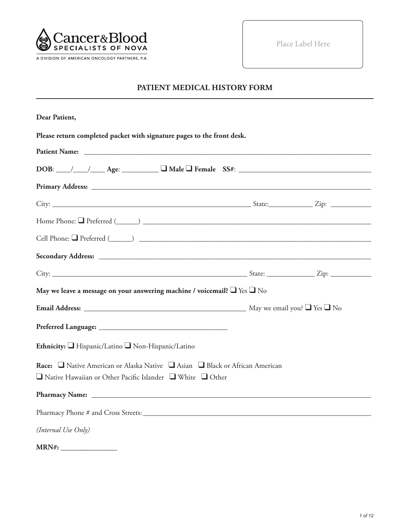

Place Label Here

# **PATIENT MEDICAL HISTORY FORM**

| Dear Patient,                                                                                                                                              |  |
|------------------------------------------------------------------------------------------------------------------------------------------------------------|--|
| Please return completed packet with signature pages to the front desk.                                                                                     |  |
|                                                                                                                                                            |  |
| $DOB:$ $\_\_\_\_\_\_\_\_\_\_\_\_\_\_\_\_$ Age: $\_\_\_\_\_\_\_\_\_\_\_\_\_\_\_\_\_\_$ Female $SS#:$ $\_\_\_\_\_\_\_\_\_\_\_\_\_\_\_\_\_\_\_\_\_\_$         |  |
|                                                                                                                                                            |  |
|                                                                                                                                                            |  |
|                                                                                                                                                            |  |
|                                                                                                                                                            |  |
|                                                                                                                                                            |  |
|                                                                                                                                                            |  |
| May we leave a message on your answering machine / voicemail? $\Box$ Yes $\Box$ No                                                                         |  |
|                                                                                                                                                            |  |
|                                                                                                                                                            |  |
| Ethnicity: Hispanic/Latino Non-Hispanic/Latino                                                                                                             |  |
| Race: □ Native American or Alaska Native □ Asian □ Black or African American<br>$\Box$ Native Hawaiian or Other Pacific Islander $\Box$ White $\Box$ Other |  |
|                                                                                                                                                            |  |
|                                                                                                                                                            |  |
| (Internal Use Only)                                                                                                                                        |  |
|                                                                                                                                                            |  |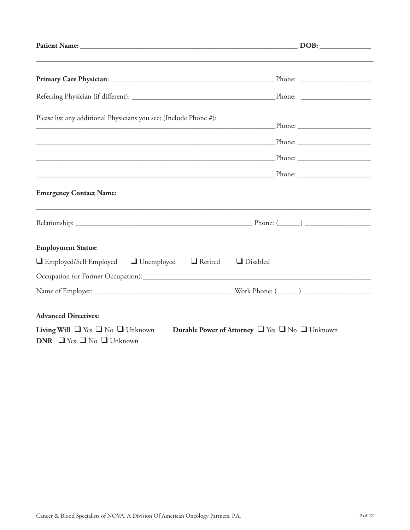| Please list any additional Physicians you see: (Include Phone #):<br><u> 1989 - Johann John Stone, mars eta bainar eta industrial eta industrial eta industrial eta industrial eta in</u> |  |
|-------------------------------------------------------------------------------------------------------------------------------------------------------------------------------------------|--|
|                                                                                                                                                                                           |  |
|                                                                                                                                                                                           |  |
|                                                                                                                                                                                           |  |
| <b>Emergency Contact Name:</b>                                                                                                                                                            |  |
|                                                                                                                                                                                           |  |
| <b>Employment Status:</b>                                                                                                                                                                 |  |
| $\Box$ Employed/Self Employed $\Box$ Unemployed $\Box$ Retired<br>$\Box$ Disabled                                                                                                         |  |
|                                                                                                                                                                                           |  |
|                                                                                                                                                                                           |  |
| <b>Advanced Directives:</b>                                                                                                                                                               |  |
| Living Will $\Box$ Yes $\Box$ No $\Box$ Unknown<br>Durable Power of Attorney U Yes U No Unknown<br>DNR $\Box$ Yes $\Box$ No $\Box$ Unknown                                                |  |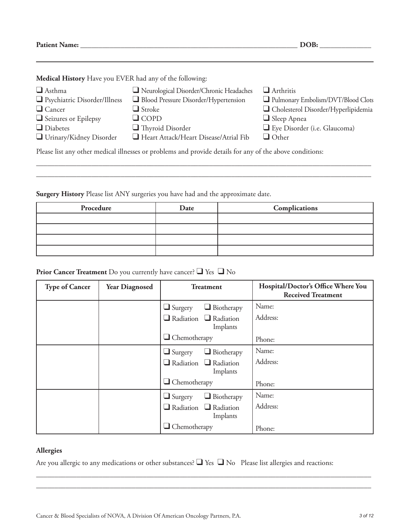**Patient Name: \_\_\_\_\_\_\_\_\_\_\_\_\_\_\_\_\_\_\_\_\_\_\_\_\_\_\_\_\_\_\_\_\_\_\_\_\_\_\_\_\_\_\_\_\_\_\_\_\_\_\_\_\_\_\_\_\_\_\_ DOB: \_\_\_\_\_\_\_\_\_\_\_\_\_\_**

**Medical History** Have you EVER had any of the following:

| $\Box$ Asthma<br>□ Psychiatric Disorder/Illness                                                          | Neurological Disorder/Chronic Headaches<br>Blood Pressure Disorder/Hypertension | $\Box$ Arthritis<br>Pulmonary Embolism/DVT/Blood Clots |  |
|----------------------------------------------------------------------------------------------------------|---------------------------------------------------------------------------------|--------------------------------------------------------|--|
| $\Box$ Cancer                                                                                            | $\Box$ Stroke                                                                   | Cholesterol Disorder/Hyperlipidemia                    |  |
| Seizures or Epilepsy                                                                                     | $\Box$ COPD                                                                     | $\Box$ Sleep Apnea                                     |  |
| $\Box$ Diabetes                                                                                          | $\Box$ Thyroid Disorder                                                         | Eye Disorder (i.e. Glaucoma)                           |  |
| Urinary/Kidney Disorder                                                                                  | Heart Attack/Heart Disease/Atrial Fib                                           | $\Box$ Other                                           |  |
| Please list any other medical illnesses or problems and provide details for any of the above conditions: |                                                                                 |                                                        |  |

\_\_\_\_\_\_\_\_\_\_\_\_\_\_\_\_\_\_\_\_\_\_\_\_\_\_\_\_\_\_\_\_\_\_\_\_\_\_\_\_\_\_\_\_\_\_\_\_\_\_\_\_\_\_\_\_\_\_\_\_\_\_\_\_\_\_\_\_\_\_\_\_\_\_\_\_\_\_\_\_\_\_\_\_\_\_\_\_\_\_\_ \_\_\_\_\_\_\_\_\_\_\_\_\_\_\_\_\_\_\_\_\_\_\_\_\_\_\_\_\_\_\_\_\_\_\_\_\_\_\_\_\_\_\_\_\_\_\_\_\_\_\_\_\_\_\_\_\_\_\_\_\_\_\_\_\_\_\_\_\_\_\_\_\_\_\_\_\_\_\_\_\_\_\_\_\_\_\_\_\_\_\_

**Surgery History** Please list ANY surgeries you have had and the approximate date.

| Procedure | Date | Complications |
|-----------|------|---------------|
|           |      |               |
|           |      |               |
|           |      |               |
|           |      |               |

# **Prior Cancer Treatment** Do you currently have cancer? ❑ Yes ❑ No

| <b>Type of Cancer</b> | <b>Year Diagnosed</b> | <b>Treatment</b>                              | Hospital/Doctor's Office Where You<br><b>Received Treatment</b> |
|-----------------------|-----------------------|-----------------------------------------------|-----------------------------------------------------------------|
|                       |                       | $\Box$ Biotherapy<br>$\Box$ Surgery           | Name:                                                           |
|                       |                       | $\Box$ Radiation $\Box$ Radiation<br>Implants | Address:                                                        |
|                       |                       | $\Box$ Chemotherapy                           | Phone:                                                          |
|                       |                       | $\Box$ Biotherapy<br>$\Box$ Surgery           | Name:                                                           |
|                       |                       | $\Box$ Radiation $\Box$ Radiation<br>Implants | Address:                                                        |
|                       |                       | $\Box$ Chemotherapy                           | Phone:                                                          |
|                       |                       | $\Box$ Biotherapy<br>$\Box$ Surgery           | Name:                                                           |
|                       |                       | $\Box$ Radiation $\Box$ Radiation<br>Implants | Address:                                                        |
|                       |                       | $\Box$ Chemotherapy                           | Phone:                                                          |

### **Allergies**

Are you allergic to any medications or other substances? ❑ Yes ❑ No Please list allergies and reactions:

\_\_\_\_\_\_\_\_\_\_\_\_\_\_\_\_\_\_\_\_\_\_\_\_\_\_\_\_\_\_\_\_\_\_\_\_\_\_\_\_\_\_\_\_\_\_\_\_\_\_\_\_\_\_\_\_\_\_\_\_\_\_\_\_\_\_\_\_\_\_\_\_\_\_\_\_\_\_\_\_\_\_\_\_\_\_\_\_\_\_\_ \_\_\_\_\_\_\_\_\_\_\_\_\_\_\_\_\_\_\_\_\_\_\_\_\_\_\_\_\_\_\_\_\_\_\_\_\_\_\_\_\_\_\_\_\_\_\_\_\_\_\_\_\_\_\_\_\_\_\_\_\_\_\_\_\_\_\_\_\_\_\_\_\_\_\_\_\_\_\_\_\_\_\_\_\_\_\_\_\_\_\_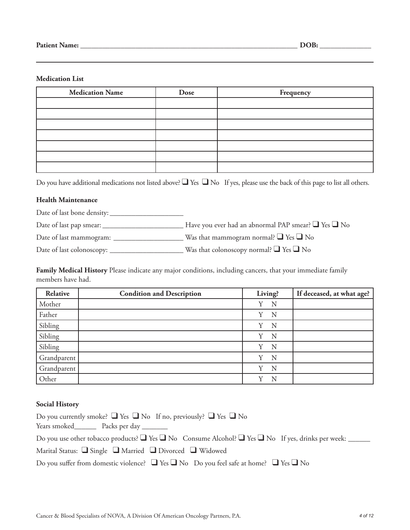### **Medication List**

| <b>Medication Name</b> | Dose | Frequency |
|------------------------|------|-----------|
|                        |      |           |
|                        |      |           |
|                        |      |           |
|                        |      |           |
|                        |      |           |
|                        |      |           |
|                        |      |           |

Do you have additional medications not listed above? ■ Yes ■ No If yes, please use the back of this page to list all others.

### **Health Maintenance**

Date of last bone density: \_\_\_\_\_\_\_\_\_\_\_\_\_\_\_\_\_\_\_\_

Date of last pap smear: \_\_\_\_\_\_\_\_\_\_\_\_\_\_\_\_\_\_\_\_\_\_ Have you ever had an abnormal PAP smear? ❑ Yes ❑ No

Date of last mammogram: \_\_\_\_\_\_\_\_\_\_\_\_\_\_\_\_\_\_\_ Was that mammogram normal? ❑ Yes ❑ No

Date of last colonoscopy: \_\_\_\_\_\_\_\_\_\_\_\_\_\_\_\_\_\_\_\_ Was that colonoscopy normal? ❑ Yes ❑ No

**Family Medical History** Please indicate any major conditions, including cancers, that your immediate family members have had.

| Relative    | <b>Condition and Description</b> | Living? | If deceased, at what age? |
|-------------|----------------------------------|---------|---------------------------|
| Mother      |                                  | N<br>Y  |                           |
| Father      |                                  | Y<br>N  |                           |
| Sibling     |                                  | Y<br>N  |                           |
| Sibling     |                                  | Y<br>N  |                           |
| Sibling     |                                  | N<br>Y  |                           |
| Grandparent |                                  | N<br>Y  |                           |
| Grandparent |                                  | N<br>Y  |                           |
| Other       |                                  | v<br>N  |                           |

#### **Social History**

| Do you currently smoke? $\Box$ Yes $\Box$ No If no, previously? $\Box$ Yes $\Box$ No                                   |
|------------------------------------------------------------------------------------------------------------------------|
| Years smoked Packs per day                                                                                             |
| Do you use other tobacco products? $\Box$ Yes $\Box$ No Consume Alcohol? $\Box$ Yes $\Box$ No If yes, drinks per week: |
| Marital Status: $\Box$ Single $\Box$ Married $\Box$ Divorced $\Box$ Widowed                                            |
| Do you suffer from domestic violence? $\Box$ Yes $\Box$ No Do you feel safe at home? $\Box$ Yes $\Box$ No              |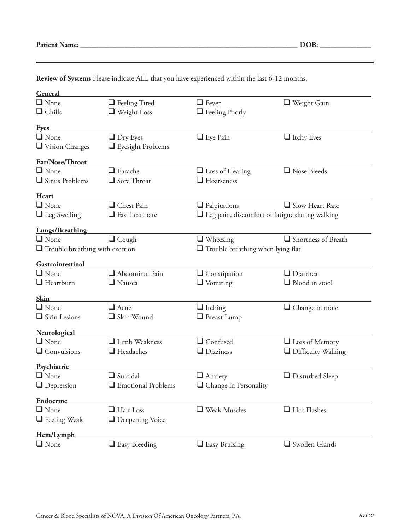| General                                |                                            |                                                          |                           |
|----------------------------------------|--------------------------------------------|----------------------------------------------------------|---------------------------|
| $\Box$ None                            | $\Box$ Feeling Tired                       | $\Box$ Fever                                             | $\Box$ Weight Gain        |
| $\Box$ Chills                          | $\Box$ Weight Loss                         |                                                          |                           |
|                                        |                                            | $\Box$ Feeling Poorly                                    |                           |
| <u>Eyes</u>                            |                                            |                                                          |                           |
| $\Box$ None                            | $\Box$ Dry Eyes                            | $\Box$ Eye Pain                                          | $\Box$ Itchy Eyes         |
| Vision Changes                         | $\Box$ Eyesight Problems                   |                                                          |                           |
| Ear/Nose/Throat                        |                                            |                                                          |                           |
| $\Box$ None                            | $\Box$ Earache                             | $\Box$ Loss of Hearing                                   | Nose Bleeds               |
| $\Box$ Sinus Problems                  | $\Box$ Sore Throat                         | $\Box$ Hoarseness                                        |                           |
| <b>Heart</b>                           |                                            |                                                          |                           |
| $\Box$ None                            | Chest Pain                                 | $\Box$ Palpitations                                      | $\Box$ Slow Heart Rate    |
| $\Box$ Leg Swelling                    | $\Box$ Fast heart rate                     | $\square$ Leg pain, discomfort or fatigue during walking |                           |
| <b>Lungs/Breathing</b>                 |                                            |                                                          |                           |
| $\Box$ None                            | $\Box$ Cough                               | $\Box$ Wheezing                                          | Shortness of Breath       |
| $\Box$ Trouble breathing with exertion |                                            | $\Box$ Trouble breathing when lying flat                 |                           |
| Gastrointestinal                       |                                            |                                                          |                           |
| $\Box$ None                            | $\Box$ Abdominal Pain                      | $\Box$ Constipation                                      | $\Box$ Diarrhea           |
| $\Box$ Heartburn                       | $\Box$ Nausea                              | $\Box$ Vomiting                                          | $\Box$ Blood in stool     |
|                                        |                                            |                                                          |                           |
| <b>Skin</b>                            |                                            |                                                          |                           |
| $\Box$ None                            | $\Box$ Acne                                | $\Box$ Itching                                           | Change in mole            |
| $\Box$ Skin Lesions                    | Skin Wound                                 | Breast Lump                                              |                           |
| <b>Neurological</b>                    |                                            |                                                          |                           |
| $\Box$ None                            | Limb Weakness                              | $\Box$ Confused                                          | $\Box$ Loss of Memory     |
| $\Box$ Convulsions                     | $\Box$ Headaches                           | $\Box$ Dizziness                                         | $\Box$ Difficulty Walking |
| Psychiatric                            |                                            |                                                          |                           |
| $\Box$ None                            | $\Box$ Suicidal                            | $\Box$ Anxiety                                           | $\Box$ Disturbed Sleep    |
| $\Box$ Depression                      | $\hfill\blacksquare$<br>Emotional Problems | $\Box$ Change in Personality                             |                           |
| <b>Endocrine</b>                       |                                            |                                                          |                           |
| $\Box$ None                            | $\Box$ Hair Loss                           | $\Box$ Weak Muscles                                      | Hot Flashes               |
| $\Box$ Feeling Weak                    | $\Box$ Deepening Voice                     |                                                          |                           |
| Hem/Lymph                              |                                            |                                                          |                           |
| $\Box$ None                            | $\Box$ Easy Bleeding                       | $\Box$ Easy Bruising                                     | Swollen Glands            |

**Review of Systems** Please indicate ALL that you have experienced within the last 6-12 months.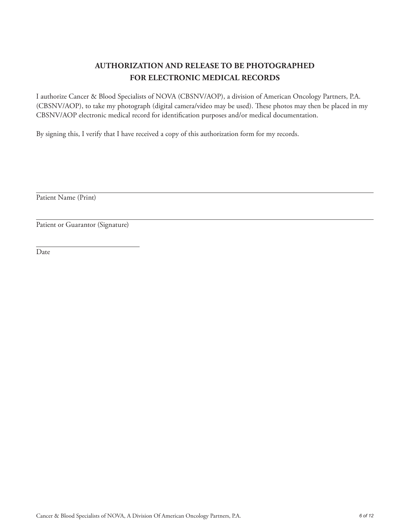# **AUTHORIZATION AND RELEASE TO BE PHOTOGRAPHED FOR ELECTRONIC MEDICAL RECORDS**

I authorize Cancer & Blood Specialists of NOVA (CBSNV/AOP), a division of American Oncology Partners, P.A. (CBSNV/AOP), to take my photograph (digital camera/video may be used). These photos may then be placed in my CBSNV/AOP electronic medical record for identification purposes and/or medical documentation.

By signing this, I verify that I have received a copy of this authorization form for my records.

Patient Name (Print)

Patient or Guarantor (Signature)

Date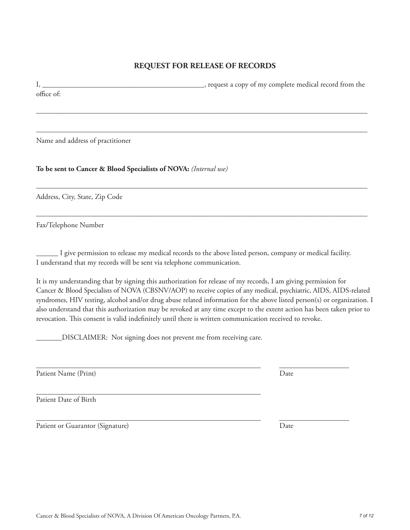# **REQUEST FOR RELEASE OF RECORDS**

I, \_\_\_\_\_\_\_\_\_\_\_\_\_\_\_\_\_\_\_\_\_\_\_\_\_\_\_\_\_\_\_\_\_\_\_\_\_\_\_\_\_\_\_\_, request a copy of my complete medical record from the office of:

––––––––––––––––––––––––––––––––––––––––––––––––––––––––––––––––––––––––––––––––––––––––––

––––––––––––––––––––––––––––––––––––––––––––––––––––––––––––––––––––––––––––––––––––––––––

––––––––––––––––––––––––––––––––––––––––––––––––––––––––––––––––––––––––––––––––––––––––––

––––––––––––––––––––––––––––––––––––––––––––––––––––––––––––––––––––––––––––––––––––––––––

Name and address of practitioner

**To be sent to Cancer & Blood Specialists of NOVA:** *(Internal use)*

Address, City, State, Zip Code

Fax/Telephone Number

\_\_\_\_\_\_ I give permission to release my medical records to the above listed person, company or medical facility. I understand that my records will be sent via telephone communication.

\_\_\_\_\_\_\_\_\_\_\_\_\_\_\_\_\_\_\_\_\_\_\_\_\_\_\_\_\_\_\_\_\_\_\_\_\_\_\_\_\_\_\_\_\_\_\_\_\_\_\_\_\_\_\_\_\_\_\_\_\_ \_\_\_\_\_\_\_\_\_\_\_\_\_\_\_\_\_\_\_

It is my understanding that by signing this authorization for release of my records, I am giving permission for Cancer & Blood Specialists of NOVA (CBSNV/AOP) to receive copies of any medical, psychiatric, AIDS, AIDS-related syndromes, HIV testing, alcohol and/or drug abuse related information for the above listed person(s) or organization. I also understand that this authorization may be revoked at any time except to the extent action has been taken prior to revocation. This consent is valid indefinitely until there is written communication received to revoke.

\_\_\_\_\_\_\_DISCLAIMER: Not signing does not prevent me from receiving care.

Patient Name (Print) Date

\_\_\_\_\_\_\_\_\_\_\_\_\_\_\_\_\_\_\_\_\_\_\_\_\_\_\_\_\_\_\_\_\_\_\_\_\_\_\_\_\_\_\_\_\_\_\_\_\_\_\_\_\_\_\_\_\_\_\_\_\_ Patient Date of Birth

Patient or Guarantor (Signature) Date

\_\_\_\_\_\_\_\_\_\_\_\_\_\_\_\_\_\_\_\_\_\_\_\_\_\_\_\_\_\_\_\_\_\_\_\_\_\_\_\_\_\_\_\_\_\_\_\_\_\_\_\_\_\_\_\_\_\_\_\_\_ \_\_\_\_\_\_\_\_\_\_\_\_\_\_\_\_\_\_\_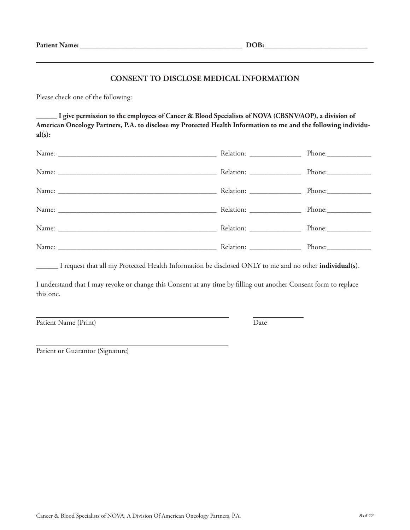### **CONSENT TO DISCLOSE MEDICAL INFORMATION**

Please check one of the following:

**\_\_\_\_\_\_ I give permission to the employees of Cancer & Blood Specialists of NOVA (CBSNV/AOP), a division of American Oncology Partners, P.A. to disclose my Protected Health Information to me and the following individual(s):**

| Relation: ___________________ |        |
|-------------------------------|--------|
|                               | Phone: |
|                               |        |
| Relation: ___________________ |        |
|                               |        |
|                               |        |

\_\_\_\_\_\_ I request that all my Protected Health Information be disclosed ONLY to me and no other **individual(s)**.

I understand that I may revoke or change this Consent at any time by filling out another Consent form to replace this one.

Patient Name (Print) Date

Patient or Guarantor (Signature)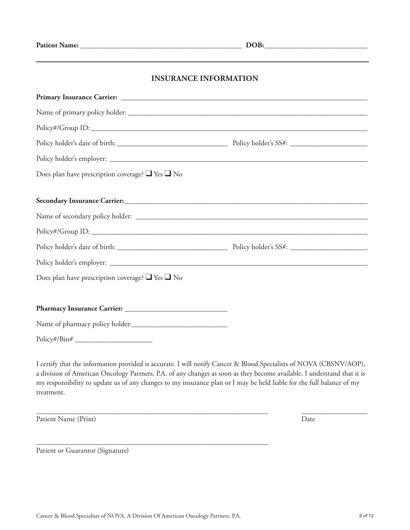# **INSURANCE INFORMATION**

| Does plan have prescription coverage? $\Box$ Yes $\Box$ No |  |
|------------------------------------------------------------|--|
|                                                            |  |
|                                                            |  |
|                                                            |  |
|                                                            |  |
|                                                            |  |
|                                                            |  |
| Does plan have prescription coverage? $\Box$ Yes $\Box$ No |  |
|                                                            |  |
|                                                            |  |
|                                                            |  |
| $Policy\#/Bin\#$                                           |  |

I certify that the information provided is accurate. I will notify Cancer & Blood Specialists of NOVA (CBSNV/AOP), a division of American Oncology Partners, P.A. of any changes as soon as they become available. I understand that it is my responsibility to update us of any changes to my insurance plan or I may be held liable for the full balance of my treatment.

\_\_\_\_\_\_\_\_\_\_\_\_\_\_\_\_\_\_\_\_\_\_\_\_\_\_\_\_\_\_\_\_\_\_\_\_\_\_\_\_\_\_\_\_\_\_\_\_\_\_\_\_\_\_\_\_\_\_\_\_\_\_\_ \_\_\_\_\_\_\_\_\_\_\_\_\_\_\_\_\_\_

Patient Name (Print) Date

Patient or Guarantor (Signature)

\_\_\_\_\_\_\_\_\_\_\_\_\_\_\_\_\_\_\_\_\_\_\_\_\_\_\_\_\_\_\_\_\_\_\_\_\_\_\_\_\_\_\_\_\_\_\_\_\_\_\_\_\_\_\_\_\_\_\_\_\_\_\_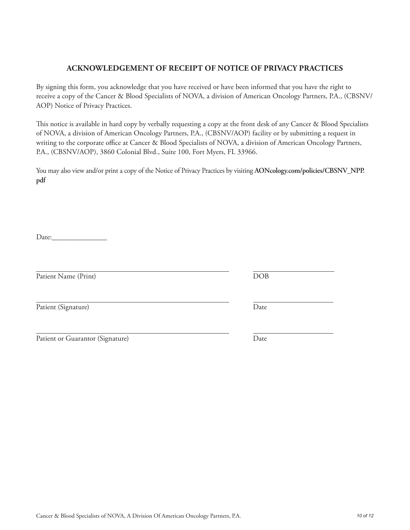# Cancer & Blood Specialists of NOVA, A Division Of American Oncology Partners, P.A. *10 of 12*

# **ACKNOWLEDGEMENT OF RECEIPT OF NOTICE OF PRIVACY PRACTICES**

By signing this form, you acknowledge that you have received or have been informed that you have the right to receive a copy of the Cancer & Blood Specialists of NOVA, a division of American Oncology Partners, P.A., (CBSNV/ AOP) Notice of Privacy Practices.

This notice is available in hard copy by verbally requesting a copy at the front desk of any Cancer & Blood Specialists of NOVA, a division of American Oncology Partners, P.A., (CBSNV/AOP) facility or by submitting a request in writing to the corporate office at Cancer & Blood Specialists of NOVA, a division of American Oncology Partners, P.A., (CBSNV/AOP), 3860 Colonial Blvd., Suite 100, Fort Myers, FL 33966.

You may also view and/or print a copy of the Notice of Privacy Practices by visiting **AONcology.com/policies/CBSNV\_NPP. pdf**

Date:

Patient Name (Print) DOB

Patient (Signature) Date

Patient or Guarantor (Signature) Date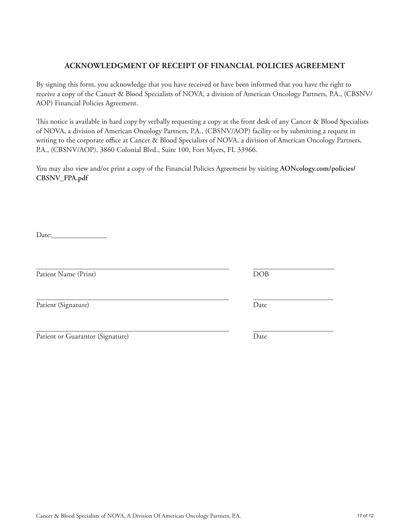# Cancer & Blood Specialists of NOVA, A Division Of American Oncology Partners, P.A. *11 of 12*

## **ACKNOWLEDGMENT OF RECEIPT OF FINANCIAL POLICIES AGREEMENT**

By signing this form, you acknowledge that you have received or have been informed that you have the right to receive a copy of the Cancer & Blood Specialists of NOVA, a division of American Oncology Partners, P.A., (CBSNV/ AOP) Financial Policies Agreement.

This notice is available in hard copy by verbally requesting a copy at the front desk of any Cancer & Blood Specialists of NOVA, a division of American Oncology Partners, P.A., (CBSNV/AOP) facility or by submitting a request in writing to the corporate office at Cancer & Blood Specialists of NOVA, a division of American Oncology Partners, P.A., (CBSNV/AOP), 3860 Colonial Blvd., Suite 100, Fort Myers, FL 33966.

You may also view and/or print a copy of the Financial Policies Agreement by visiting **AONcology.com/policies/ CBSNV\_FPA.pdf**

Date:\_\_\_\_\_\_\_\_\_\_\_\_\_\_\_

Patient Name (Print) DOB

Patient (Signature) Date

Patient or Guarantor (Signature) Date